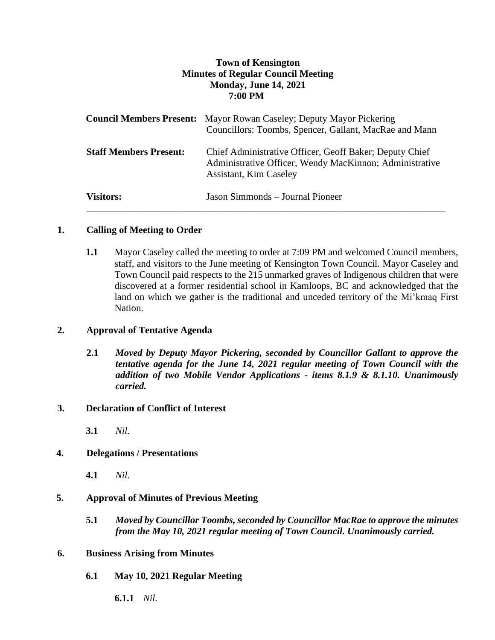# **Town of Kensington Minutes of Regular Council Meeting Monday, June 14, 2021 7:00 PM**

|                               | <b>Council Members Present:</b> Mayor Rowan Caseley; Deputy Mayor Pickering<br>Councillors: Toombs, Spencer, Gallant, MacRae and Mann               |
|-------------------------------|-----------------------------------------------------------------------------------------------------------------------------------------------------|
| <b>Staff Members Present:</b> | Chief Administrative Officer, Geoff Baker; Deputy Chief<br>Administrative Officer, Wendy MacKinnon; Administrative<br><b>Assistant, Kim Caseley</b> |
| <b>Visitors:</b>              | Jason Simmonds – Journal Pioneer                                                                                                                    |

# **1. Calling of Meeting to Order**

**1.1** Mayor Caseley called the meeting to order at 7:09 PM and welcomed Council members, staff, and visitors to the June meeting of Kensington Town Council. Mayor Caseley and Town Council paid respects to the 215 unmarked graves of Indigenous children that were discovered at a former residential school in Kamloops, BC and acknowledged that the land on which we gather is the traditional and unceded territory of the Mi'kmaq First Nation.

## **2. Approval of Tentative Agenda**

**2.1** *Moved by Deputy Mayor Pickering, seconded by Councillor Gallant to approve the tentative agenda for the June 14, 2021 regular meeting of Town Council with the addition of two Mobile Vendor Applications - items 8.1.9 & 8.1.10. Unanimously carried.*

## **3. Declaration of Conflict of Interest**

**3.1** *Nil.*

## **4. Delegations / Presentations**

**4.1** *Nil.*

# **5. Approval of Minutes of Previous Meeting**

**5.1** *Moved by Councillor Toombs, seconded by Councillor MacRae to approve the minutes from the May 10, 2021 regular meeting of Town Council. Unanimously carried.*

## **6. Business Arising from Minutes**

- **6.1 May 10, 2021 Regular Meeting** 
	- **6.1.1** *Nil.*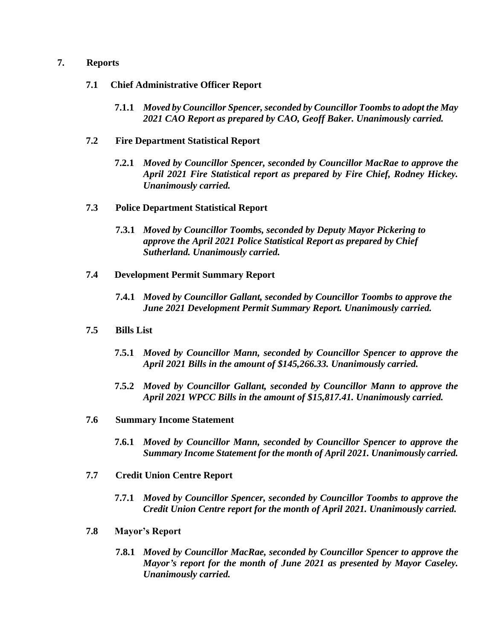### **7. Reports**

- **7.1 Chief Administrative Officer Report**
	- **7.1.1** *Moved by Councillor Spencer,seconded by Councillor Toombs to adopt the May 2021 CAO Report as prepared by CAO, Geoff Baker. Unanimously carried.*

### **7.2 Fire Department Statistical Report**

**7.2.1** *Moved by Councillor Spencer, seconded by Councillor MacRae to approve the April 2021 Fire Statistical report as prepared by Fire Chief, Rodney Hickey. Unanimously carried.*

### **7.3 Police Department Statistical Report**

- **7.3.1** *Moved by Councillor Toombs, seconded by Deputy Mayor Pickering to approve the April 2021 Police Statistical Report as prepared by Chief Sutherland. Unanimously carried.*
- **7.4 Development Permit Summary Report**
	- **7.4.1** *Moved by Councillor Gallant, seconded by Councillor Toombs to approve the June 2021 Development Permit Summary Report. Unanimously carried.*
- **7.5 Bills List** 
	- **7.5.1** *Moved by Councillor Mann, seconded by Councillor Spencer to approve the April 2021 Bills in the amount of \$145,266.33. Unanimously carried.*
	- **7.5.2** *Moved by Councillor Gallant, seconded by Councillor Mann to approve the April 2021 WPCC Bills in the amount of \$15,817.41. Unanimously carried.*
- **7.6 Summary Income Statement**
	- **7.6.1** *Moved by Councillor Mann, seconded by Councillor Spencer to approve the Summary Income Statement for the month of April 2021. Unanimously carried.*
- **7.7 Credit Union Centre Report**
	- **7.7.1** *Moved by Councillor Spencer, seconded by Councillor Toombs to approve the Credit Union Centre report for the month of April 2021. Unanimously carried.*
- **7.8 Mayor's Report**
	- **7.8.1** *Moved by Councillor MacRae, seconded by Councillor Spencer to approve the Mayor's report for the month of June 2021 as presented by Mayor Caseley. Unanimously carried.*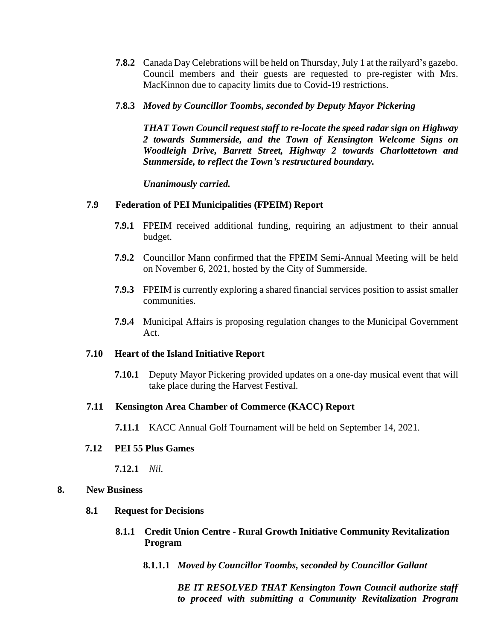- **7.8.2** Canada Day Celebrations will be held on Thursday, July 1 at the railyard's gazebo. Council members and their guests are requested to pre-register with Mrs. MacKinnon due to capacity limits due to Covid-19 restrictions.
- **7.8.3** *Moved by Councillor Toombs, seconded by Deputy Mayor Pickering*

*THAT Town Council request staff to re-locate the speed radar sign on Highway 2 towards Summerside, and the Town of Kensington Welcome Signs on Woodleigh Drive, Barrett Street, Highway 2 towards Charlottetown and Summerside, to reflect the Town's restructured boundary.*

*Unanimously carried.* 

### **7.9 Federation of PEI Municipalities (FPEIM) Report**

- **7.9.1** FPEIM received additional funding, requiring an adjustment to their annual budget.
- **7.9.2** Councillor Mann confirmed that the FPEIM Semi-Annual Meeting will be held on November 6, 2021, hosted by the City of Summerside.
- **7.9.3** FPEIM is currently exploring a shared financial services position to assist smaller communities.
- **7.9.4** Municipal Affairs is proposing regulation changes to the Municipal Government Act.

#### **7.10 Heart of the Island Initiative Report**

**7.10.1** Deputy Mayor Pickering provided updates on a one-day musical event that will take place during the Harvest Festival.

#### **7.11 Kensington Area Chamber of Commerce (KACC) Report**

**7.11.1** KACC Annual Golf Tournament will be held on September 14, 2021.

#### **7.12 PEI 55 Plus Games**

**7.12.1** *Nil.*

#### **8. New Business**

#### **8.1 Request for Decisions**

- **8.1.1 Credit Union Centre - Rural Growth Initiative Community Revitalization Program**
	- **8.1.1.1** *Moved by Councillor Toombs, seconded by Councillor Gallant*

*BE IT RESOLVED THAT Kensington Town Council authorize staff to proceed with submitting a Community Revitalization Program*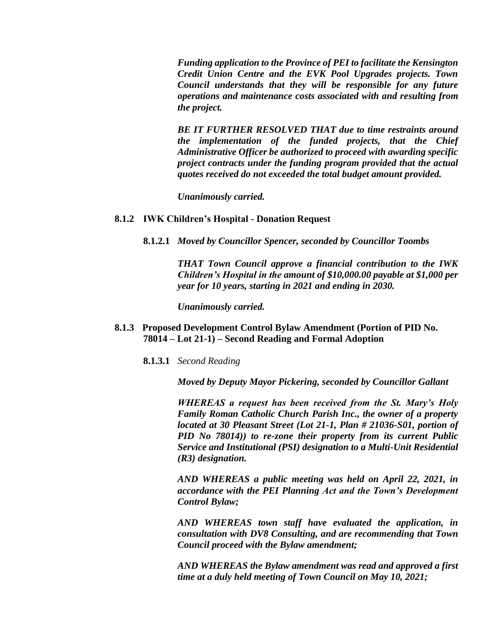*Funding application to the Province of PEI to facilitate the Kensington Credit Union Centre and the EVK Pool Upgrades projects. Town Council understands that they will be responsible for any future operations and maintenance costs associated with and resulting from the project.*

*BE IT FURTHER RESOLVED THAT due to time restraints around the implementation of the funded projects, that the Chief Administrative Officer be authorized to proceed with awarding specific project contracts under the funding program provided that the actual quotes received do not exceeded the total budget amount provided.*

*Unanimously carried.* 

#### **8.1.2 IWK Children's Hospital - Donation Request**

**8.1.2.1** *Moved by Councillor Spencer, seconded by Councillor Toombs*

*THAT Town Council approve a financial contribution to the IWK Children's Hospital in the amount of \$10,000.00 payable at \$1,000 per year for 10 years, starting in 2021 and ending in 2030.*

*Unanimously carried.*

- **8.1.3 Proposed Development Control Bylaw Amendment (Portion of PID No. 78014 – Lot 21-1) – Second Reading and Formal Adoption**
	- **8.1.3.1** *Second Reading*

*Moved by Deputy Mayor Pickering, seconded by Councillor Gallant*

*WHEREAS a request has been received from the St. Mary's Holy Family Roman Catholic Church Parish Inc., the owner of a property located at 30 Pleasant Street (Lot 21-1, Plan # 21036-S01, portion of PID No 78014)) to re-zone their property from its current Public Service and Institutional (PSI) designation to a Multi-Unit Residential (R3) designation.*

*AND WHEREAS a public meeting was held on April 22, 2021, in accordance with the PEI Planning Act and the Town's Development Control Bylaw;*

*AND WHEREAS town staff have evaluated the application, in consultation with DV8 Consulting, and are recommending that Town Council proceed with the Bylaw amendment;*

*AND WHEREAS the Bylaw amendment was read and approved a first time at a duly held meeting of Town Council on May 10, 2021;*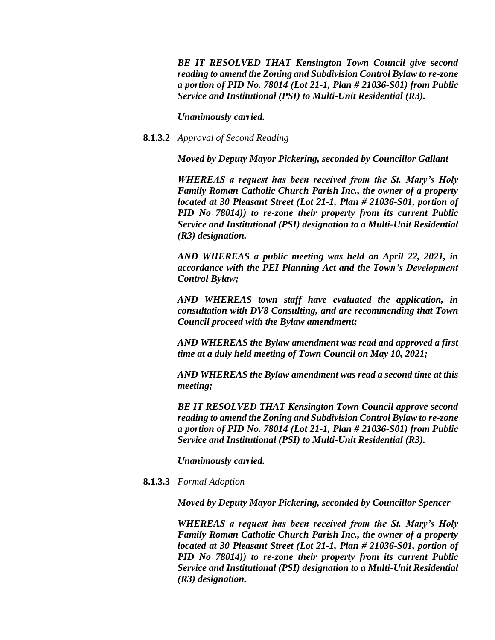*BE IT RESOLVED THAT Kensington Town Council give second reading to amend the Zoning and Subdivision Control Bylaw to re-zone a portion of PID No. 78014 (Lot 21-1, Plan # 21036-S01) from Public Service and Institutional (PSI) to Multi-Unit Residential (R3).*

*Unanimously carried.*

## **8.1.3.2** *Approval of Second Reading*

*Moved by Deputy Mayor Pickering, seconded by Councillor Gallant*

*WHEREAS a request has been received from the St. Mary's Holy Family Roman Catholic Church Parish Inc., the owner of a property located at 30 Pleasant Street (Lot 21-1, Plan # 21036-S01, portion of PID No 78014)) to re-zone their property from its current Public Service and Institutional (PSI) designation to a Multi-Unit Residential (R3) designation.*

*AND WHEREAS a public meeting was held on April 22, 2021, in accordance with the PEI Planning Act and the Town's Development Control Bylaw;*

*AND WHEREAS town staff have evaluated the application, in consultation with DV8 Consulting, and are recommending that Town Council proceed with the Bylaw amendment;*

*AND WHEREAS the Bylaw amendment was read and approved a first time at a duly held meeting of Town Council on May 10, 2021;*

*AND WHEREAS the Bylaw amendment was read a second time at this meeting;*

*BE IT RESOLVED THAT Kensington Town Council approve second reading to amend the Zoning and Subdivision Control Bylaw to re-zone a portion of PID No. 78014 (Lot 21-1, Plan # 21036-S01) from Public Service and Institutional (PSI) to Multi-Unit Residential (R3).*

*Unanimously carried.* 

**8.1.3.3** *Formal Adoption* 

*Moved by Deputy Mayor Pickering, seconded by Councillor Spencer*

*WHEREAS a request has been received from the St. Mary's Holy Family Roman Catholic Church Parish Inc., the owner of a property located at 30 Pleasant Street (Lot 21-1, Plan # 21036-S01, portion of PID No 78014)) to re-zone their property from its current Public Service and Institutional (PSI) designation to a Multi-Unit Residential (R3) designation.*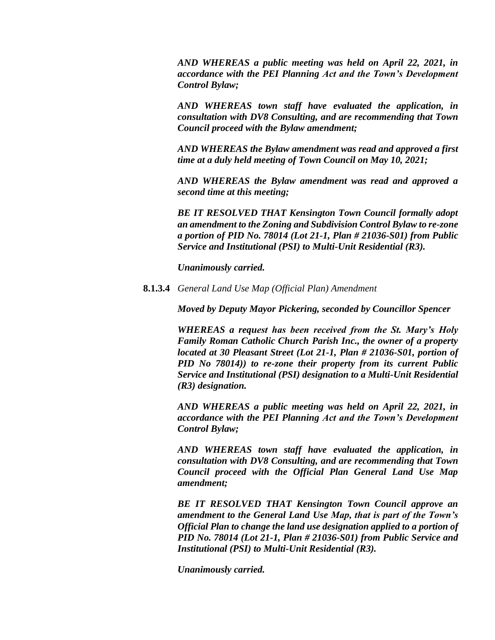*AND WHEREAS a public meeting was held on April 22, 2021, in accordance with the PEI Planning Act and the Town's Development Control Bylaw;*

*AND WHEREAS town staff have evaluated the application, in consultation with DV8 Consulting, and are recommending that Town Council proceed with the Bylaw amendment;*

*AND WHEREAS the Bylaw amendment was read and approved a first time at a duly held meeting of Town Council on May 10, 2021;*

*AND WHEREAS the Bylaw amendment was read and approved a second time at this meeting;*

*BE IT RESOLVED THAT Kensington Town Council formally adopt an amendment to the Zoning and Subdivision Control Bylaw to re-zone a portion of PID No. 78014 (Lot 21-1, Plan # 21036-S01) from Public Service and Institutional (PSI) to Multi-Unit Residential (R3).*

*Unanimously carried.* 

**8.1.3.4** *General Land Use Map (Official Plan) Amendment* 

*Moved by Deputy Mayor Pickering, seconded by Councillor Spencer*

*WHEREAS a request has been received from the St. Mary's Holy Family Roman Catholic Church Parish Inc., the owner of a property located at 30 Pleasant Street (Lot 21-1, Plan # 21036-S01, portion of PID No 78014)) to re-zone their property from its current Public Service and Institutional (PSI) designation to a Multi-Unit Residential (R3) designation.*

*AND WHEREAS a public meeting was held on April 22, 2021, in accordance with the PEI Planning Act and the Town's Development Control Bylaw;*

*AND WHEREAS town staff have evaluated the application, in consultation with DV8 Consulting, and are recommending that Town Council proceed with the Official Plan General Land Use Map amendment;*

*BE IT RESOLVED THAT Kensington Town Council approve an amendment to the General Land Use Map, that is part of the Town's Official Plan to change the land use designation applied to a portion of PID No. 78014 (Lot 21-1, Plan # 21036-S01) from Public Service and Institutional (PSI) to Multi-Unit Residential (R3).*

*Unanimously carried.*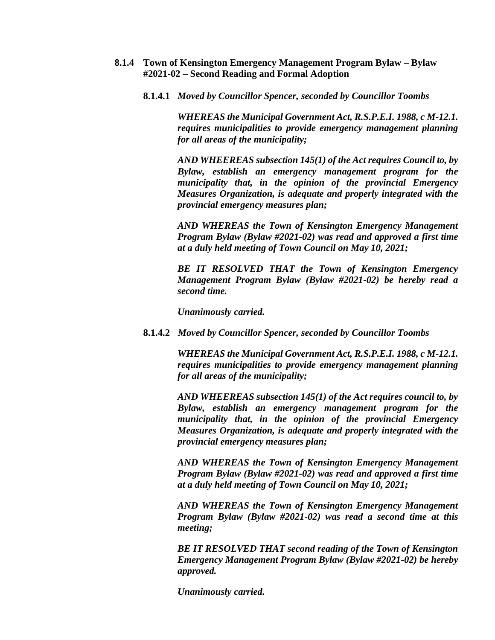- **8.1.4 Town of Kensington Emergency Management Program Bylaw – Bylaw #2021-02 – Second Reading and Formal Adoption**
	- **8.1.4.1** *Moved by Councillor Spencer, seconded by Councillor Toombs*

*WHEREAS the Municipal Government Act, R.S.P.E.I. 1988, c M-12.1. requires municipalities to provide emergency management planning for all areas of the municipality;*

*AND WHEEREAS subsection 145(1) of the Act requires Council to, by Bylaw, establish an emergency management program for the municipality that, in the opinion of the provincial Emergency Measures Organization, is adequate and properly integrated with the provincial emergency measures plan;*

*AND WHEREAS the Town of Kensington Emergency Management Program Bylaw (Bylaw #2021-02) was read and approved a first time at a duly held meeting of Town Council on May 10, 2021;*

*BE IT RESOLVED THAT the Town of Kensington Emergency Management Program Bylaw (Bylaw #2021-02) be hereby read a second time.*

*Unanimously carried.* 

**8.1.4.2** *Moved by Councillor Spencer, seconded by Councillor Toombs*

*WHEREAS the Municipal Government Act, R.S.P.E.I. 1988, c M-12.1. requires municipalities to provide emergency management planning for all areas of the municipality;*

*AND WHEEREAS subsection 145(1) of the Act requires council to, by Bylaw, establish an emergency management program for the municipality that, in the opinion of the provincial Emergency Measures Organization, is adequate and properly integrated with the provincial emergency measures plan;*

*AND WHEREAS the Town of Kensington Emergency Management Program Bylaw (Bylaw #2021-02) was read and approved a first time at a duly held meeting of Town Council on May 10, 2021;*

*AND WHEREAS the Town of Kensington Emergency Management Program Bylaw (Bylaw #2021-02) was read a second time at this meeting;*

*BE IT RESOLVED THAT second reading of the Town of Kensington Emergency Management Program Bylaw (Bylaw #2021-02) be hereby approved.* 

*Unanimously carried.*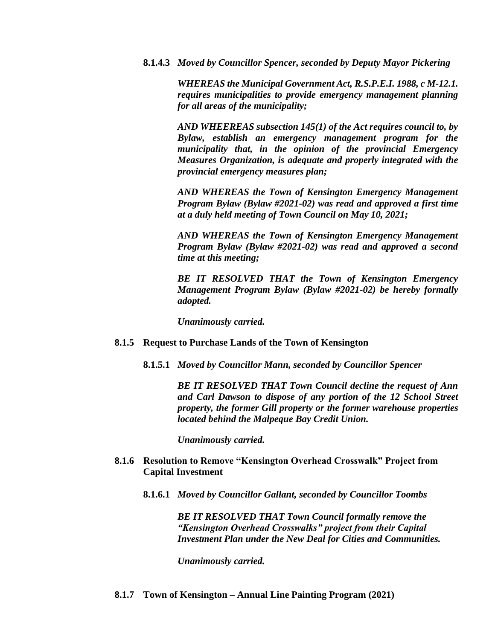**8.1.4.3** *Moved by Councillor Spencer, seconded by Deputy Mayor Pickering*

*WHEREAS the Municipal Government Act, R.S.P.E.I. 1988, c M-12.1. requires municipalities to provide emergency management planning for all areas of the municipality;*

*AND WHEEREAS subsection 145(1) of the Act requires council to, by Bylaw, establish an emergency management program for the municipality that, in the opinion of the provincial Emergency Measures Organization, is adequate and properly integrated with the provincial emergency measures plan;*

*AND WHEREAS the Town of Kensington Emergency Management Program Bylaw (Bylaw #2021-02) was read and approved a first time at a duly held meeting of Town Council on May 10, 2021;*

*AND WHEREAS the Town of Kensington Emergency Management Program Bylaw (Bylaw #2021-02) was read and approved a second time at this meeting;*

*BE IT RESOLVED THAT the Town of Kensington Emergency Management Program Bylaw (Bylaw #2021-02) be hereby formally adopted.* 

*Unanimously carried.* 

- **8.1.5 Request to Purchase Lands of the Town of Kensington**
	- **8.1.5.1** *Moved by Councillor Mann, seconded by Councillor Spencer*

*BE IT RESOLVED THAT Town Council decline the request of Ann and Carl Dawson to dispose of any portion of the 12 School Street property, the former Gill property or the former warehouse properties located behind the Malpeque Bay Credit Union.* 

*Unanimously carried.*

- **8.1.6 Resolution to Remove "Kensington Overhead Crosswalk" Project from Capital Investment**
	- **8.1.6.1** *Moved by Councillor Gallant, seconded by Councillor Toombs*

*BE IT RESOLVED THAT Town Council formally remove the "Kensington Overhead Crosswalks" project from their Capital Investment Plan under the New Deal for Cities and Communities.*

*Unanimously carried.*

**8.1.7 Town of Kensington – Annual Line Painting Program (2021)**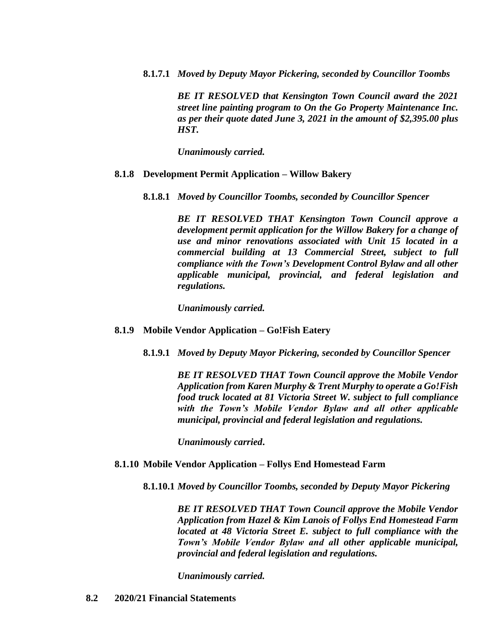**8.1.7.1** *Moved by Deputy Mayor Pickering, seconded by Councillor Toombs*

*BE IT RESOLVED that Kensington Town Council award the 2021 street line painting program to On the Go Property Maintenance Inc. as per their quote dated June 3, 2021 in the amount of \$2,395.00 plus HST.*

*Unanimously carried.*

### **8.1.8 Development Permit Application – Willow Bakery**

**8.1.8.1** *Moved by Councillor Toombs, seconded by Councillor Spencer*

*BE IT RESOLVED THAT Kensington Town Council approve a development permit application for the Willow Bakery for a change of use and minor renovations associated with Unit 15 located in a commercial building at 13 Commercial Street, subject to full compliance with the Town's Development Control Bylaw and all other applicable municipal, provincial, and federal legislation and regulations.*

*Unanimously carried.*

- **8.1.9 Mobile Vendor Application – Go!Fish Eatery**
	- **8.1.9.1** *Moved by Deputy Mayor Pickering, seconded by Councillor Spencer*

*BE IT RESOLVED THAT Town Council approve the Mobile Vendor Application from Karen Murphy & Trent Murphy to operate a Go!Fish food truck located at 81 Victoria Street W. subject to full compliance with the Town's Mobile Vendor Bylaw and all other applicable municipal, provincial and federal legislation and regulations.*

*Unanimously carried***.**

## **8.1.10 Mobile Vendor Application – Follys End Homestead Farm**

**8.1.10.1** *Moved by Councillor Toombs, seconded by Deputy Mayor Pickering*

*BE IT RESOLVED THAT Town Council approve the Mobile Vendor Application from Hazel & Kim Lanois of Follys End Homestead Farm located at 48 Victoria Street E. subject to full compliance with the Town's Mobile Vendor Bylaw and all other applicable municipal, provincial and federal legislation and regulations.*

*Unanimously carried.*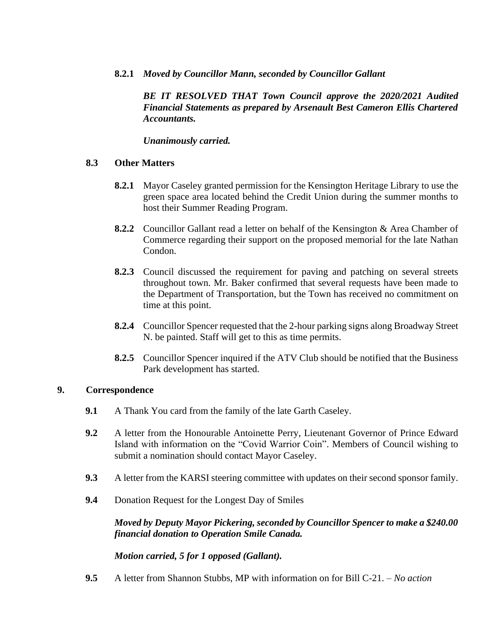# **8.2.1** *Moved by Councillor Mann, seconded by Councillor Gallant*

*BE IT RESOLVED THAT Town Council approve the 2020/2021 Audited Financial Statements as prepared by Arsenault Best Cameron Ellis Chartered Accountants.* 

*Unanimously carried.*

# **8.3 Other Matters**

- **8.2.1** Mayor Caseley granted permission for the Kensington Heritage Library to use the green space area located behind the Credit Union during the summer months to host their Summer Reading Program.
- **8.2.2** Councillor Gallant read a letter on behalf of the Kensington & Area Chamber of Commerce regarding their support on the proposed memorial for the late Nathan Condon.
- **8.2.3** Council discussed the requirement for paving and patching on several streets throughout town. Mr. Baker confirmed that several requests have been made to the Department of Transportation, but the Town has received no commitment on time at this point.
- **8.2.4** Councillor Spencer requested that the 2-hour parking signs along Broadway Street N. be painted. Staff will get to this as time permits.
- **8.2.5** Councillor Spencer inquired if the ATV Club should be notified that the Business Park development has started.

## **9. Correspondence**

- **9.1** A Thank You card from the family of the late Garth Caseley.
- **9.2** A letter from the Honourable Antoinette Perry, Lieutenant Governor of Prince Edward Island with information on the "Covid Warrior Coin". Members of Council wishing to submit a nomination should contact Mayor Caseley.
- **9.3** A letter from the KARSI steering committee with updates on their second sponsor family.
- **9.4** Donation Request for the Longest Day of Smiles

*Moved by Deputy Mayor Pickering, seconded by Councillor Spencer to make a \$240.00 financial donation to Operation Smile Canada.* 

*Motion carried, 5 for 1 opposed (Gallant).* 

**9.5** A letter from Shannon Stubbs, MP with information on for Bill C-21. – *No action*